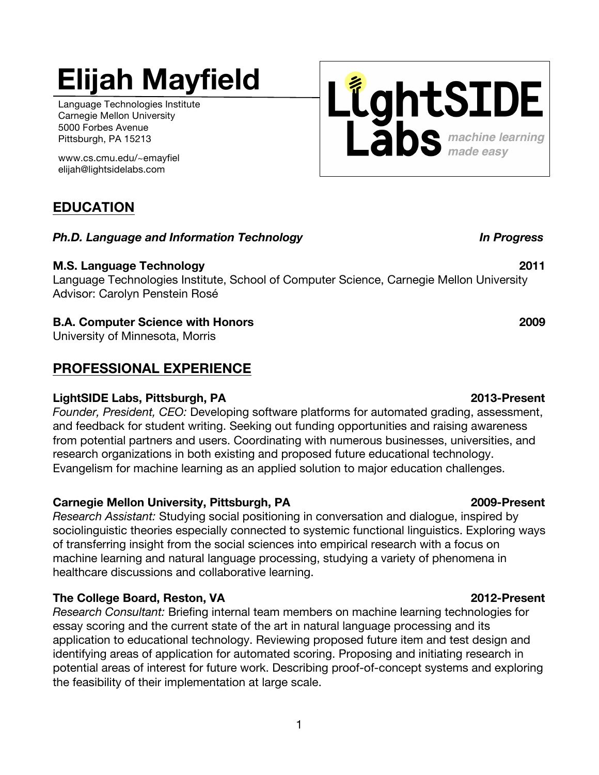### 1

## **Elijah Mayfield**

Language Technologies Institute Carnegie Mellon University 5000 Forbes Avenue Pittsburgh, PA 15213

 www.cs.cmu.edu/~emayfiel elijah@lightsidelabs.com

### **EDUCATION**

### *Ph.D. Language and Information Technology In Progress*

### **M.S. Language Technology 2011**

Language Technologies Institute, School of Computer Science, Carnegie Mellon University Advisor: Carolyn Penstein Rosé

### **B.A. Computer Science with Honors 2009**

University of Minnesota, Morris

### **PROFESSIONAL EXPERIENCE**

### **LightSIDE Labs, Pittsburgh, PA 2013-Present**

*Founder, President, CEO:* Developing software platforms for automated grading, assessment, and feedback for student writing. Seeking out funding opportunities and raising awareness from potential partners and users. Coordinating with numerous businesses, universities, and research organizations in both existing and proposed future educational technology. Evangelism for machine learning as an applied solution to major education challenges.

### **Carnegie Mellon University, Pittsburgh, PA 2009-Present**

*Research Assistant:* Studying social positioning in conversation and dialogue, inspired by sociolinguistic theories especially connected to systemic functional linguistics. Exploring ways of transferring insight from the social sciences into empirical research with a focus on machine learning and natural language processing, studying a variety of phenomena in healthcare discussions and collaborative learning.

### **The College Board, Reston, VA 2012-Present**

*Research Consultant:* Briefing internal team members on machine learning technologies for essay scoring and the current state of the art in natural language processing and its application to educational technology. Reviewing proposed future item and test design and identifying areas of application for automated scoring. Proposing and initiating research in potential areas of interest for future work. Describing proof-of-concept systems and exploring the feasibility of their implementation at large scale.

# LightSIDE **abs** machine learning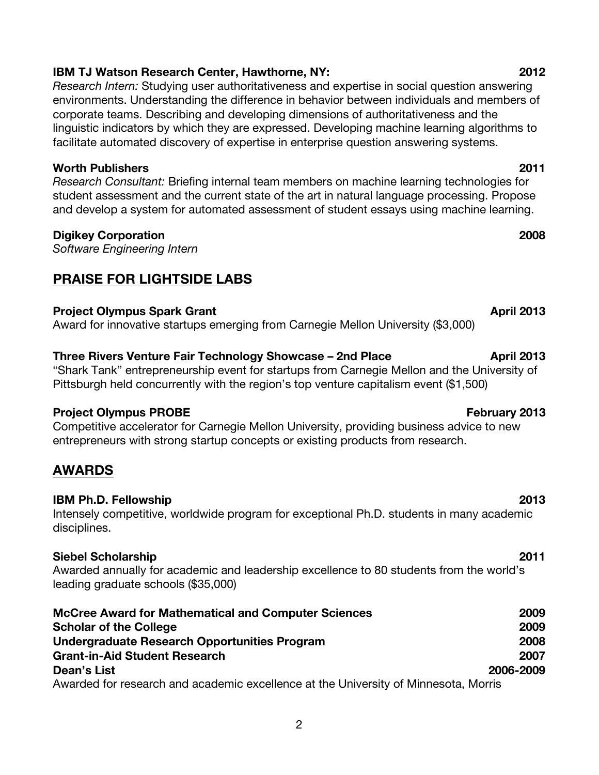### **IBM TJ Watson Research Center, Hawthorne, NY: 2012**

*Research Intern:* Studying user authoritativeness and expertise in social question answering environments. Understanding the difference in behavior between individuals and members of corporate teams. Describing and developing dimensions of authoritativeness and the linguistic indicators by which they are expressed. Developing machine learning algorithms to facilitate automated discovery of expertise in enterprise question answering systems.

#### **Worth Publishers 2011**

*Research Consultant:* Briefing internal team members on machine learning technologies for student assessment and the current state of the art in natural language processing. Propose and develop a system for automated assessment of student essays using machine learning.

#### **Digikey Corporation 2008**

*Software Engineering Intern*

### **PRAISE FOR LIGHTSIDE LABS**

#### **Project Olympus Spark Grant April 2013**

Award for innovative startups emerging from Carnegie Mellon University (\$3,000)

#### **Three Rivers Venture Fair Technology Showcase – 2nd Place April 2013**

"Shark Tank" entrepreneurship event for startups from Carnegie Mellon and the University of Pittsburgh held concurrently with the region's top venture capitalism event (\$1,500)

#### **Project Olympus PROBE February 2013**

Competitive accelerator for Carnegie Mellon University, providing business advice to new entrepreneurs with strong startup concepts or existing products from research.

### **AWARDS**

#### **IBM Ph.D. Fellowship 2013**

Intensely competitive, worldwide program for exceptional Ph.D. students in many academic disciplines.

#### **Siebel Scholarship 2011**

Awarded annually for academic and leadership excellence to 80 students from the world's leading graduate schools (\$35,000)

| <b>McCree Award for Mathematical and Computer Sciences</b>                          | 2009      |
|-------------------------------------------------------------------------------------|-----------|
| <b>Scholar of the College</b>                                                       | 2009      |
| Undergraduate Research Opportunities Program                                        | 2008      |
| <b>Grant-in-Aid Student Research</b>                                                | 2007      |
| Dean's List                                                                         | 2006-2009 |
| Awarded for research and academic excellence at the University of Minnesota, Morris |           |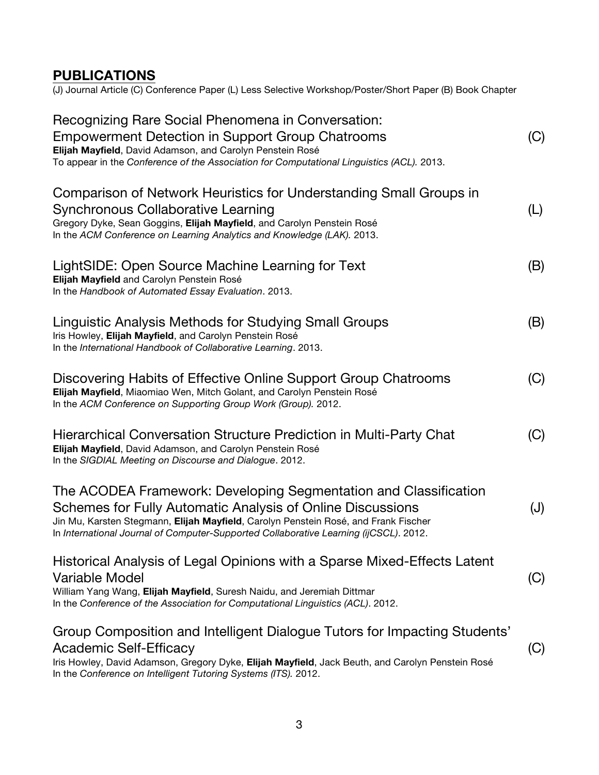### **PUBLICATIONS**

(J) Journal Article (C) Conference Paper (L) Less Selective Workshop/Poster/Short Paper (B) Book Chapter

| Recognizing Rare Social Phenomena in Conversation:<br><b>Empowerment Detection in Support Group Chatrooms</b><br>Elijah Mayfield, David Adamson, and Carolyn Penstein Rosé<br>To appear in the Conference of the Association for Computational Linguistics (ACL). 2013.                                        | (C) |
|----------------------------------------------------------------------------------------------------------------------------------------------------------------------------------------------------------------------------------------------------------------------------------------------------------------|-----|
| Comparison of Network Heuristics for Understanding Small Groups in<br>Synchronous Collaborative Learning<br>Gregory Dyke, Sean Goggins, Elijah Mayfield, and Carolyn Penstein Rosé<br>In the ACM Conference on Learning Analytics and Knowledge (LAK). 2013.                                                   | (L) |
| LightSIDE: Open Source Machine Learning for Text<br>Elijah Mayfield and Carolyn Penstein Rosé<br>In the Handbook of Automated Essay Evaluation. 2013.                                                                                                                                                          | (B) |
| Linguistic Analysis Methods for Studying Small Groups<br>Iris Howley, Elijah Mayfield, and Carolyn Penstein Rosé<br>In the International Handbook of Collaborative Learning. 2013.                                                                                                                             | (B) |
| Discovering Habits of Effective Online Support Group Chatrooms<br>Elijah Mayfield, Miaomiao Wen, Mitch Golant, and Carolyn Penstein Rosé<br>In the ACM Conference on Supporting Group Work (Group). 2012.                                                                                                      | (C) |
| Hierarchical Conversation Structure Prediction in Multi-Party Chat<br>Elijah Mayfield, David Adamson, and Carolyn Penstein Rosé<br>In the SIGDIAL Meeting on Discourse and Dialogue. 2012.                                                                                                                     | (C) |
| The ACODEA Framework: Developing Segmentation and Classification<br>Schemes for Fully Automatic Analysis of Online Discussions<br>Jin Mu, Karsten Stegmann, Elijah Mayfield, Carolyn Penstein Rosé, and Frank Fischer<br>In International Journal of Computer-Supported Collaborative Learning (ijCSCL). 2012. | (J) |
| Historical Analysis of Legal Opinions with a Sparse Mixed-Effects Latent<br><b>Variable Model</b><br>William Yang Wang, Elijah Mayfield, Suresh Naidu, and Jeremiah Dittmar<br>In the Conference of the Association for Computational Linguistics (ACL). 2012.                                                 | (C) |
| Group Composition and Intelligent Dialogue Tutors for Impacting Students'<br><b>Academic Self-Efficacy</b><br>Iris Howley, David Adamson, Gregory Dyke, Elijah Mayfield, Jack Beuth, and Carolyn Penstein Rosé<br>In the Conference on Intelligent Tutoring Systems (ITS). 2012.                               | (C) |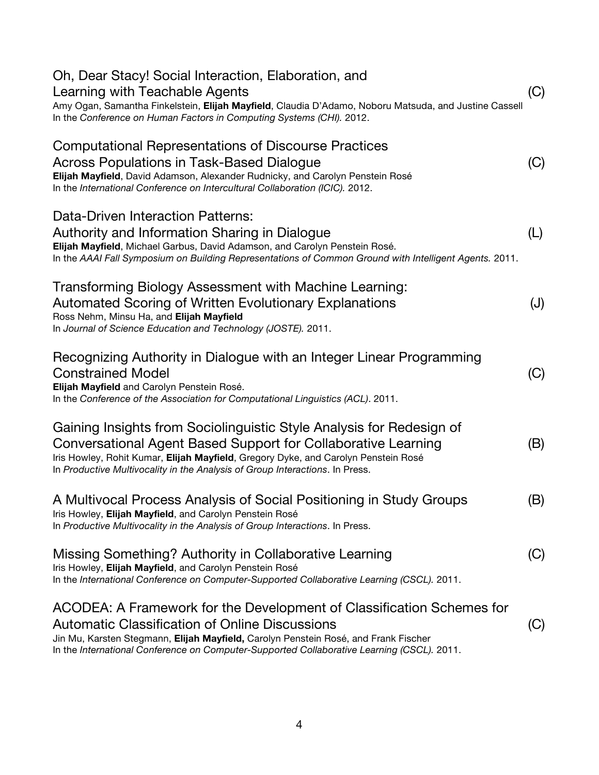| Oh, Dear Stacy! Social Interaction, Elaboration, and<br>Learning with Teachable Agents<br>Amy Ogan, Samantha Finkelstein, Elijah Mayfield, Claudia D'Adamo, Noboru Matsuda, and Justine Cassell<br>In the Conference on Human Factors in Computing Systems (CHI). 2012.                                             | (C) |
|---------------------------------------------------------------------------------------------------------------------------------------------------------------------------------------------------------------------------------------------------------------------------------------------------------------------|-----|
| <b>Computational Representations of Discourse Practices</b><br><b>Across Populations in Task-Based Dialogue</b><br>Elijah Mayfield, David Adamson, Alexander Rudnicky, and Carolyn Penstein Rosé<br>In the International Conference on Intercultural Collaboration (ICIC). 2012.                                    | (C) |
| Data-Driven Interaction Patterns:<br>Authority and Information Sharing in Dialogue<br>Elijah Mayfield, Michael Garbus, David Adamson, and Carolyn Penstein Rosé.<br>In the AAAI Fall Symposium on Building Representations of Common Ground with Intelligent Agents. 2011.                                          | (L) |
| Transforming Biology Assessment with Machine Learning:<br><b>Automated Scoring of Written Evolutionary Explanations</b><br>Ross Nehm, Minsu Ha, and Elijah Mayfield<br>In Journal of Science Education and Technology (JOSTE). 2011.                                                                                | (J) |
| Recognizing Authority in Dialogue with an Integer Linear Programming<br><b>Constrained Model</b><br>Elijah Mayfield and Carolyn Penstein Rosé.<br>In the Conference of the Association for Computational Linguistics (ACL). 2011.                                                                                   | (C) |
| Gaining Insights from Sociolinguistic Style Analysis for Redesign of<br>Conversational Agent Based Support for Collaborative Learning<br>Iris Howley, Rohit Kumar, Elijah Mayfield, Gregory Dyke, and Carolyn Penstein Rosé<br>In Productive Multivocality in the Analysis of Group Interactions. In Press.         | (B) |
| A Multivocal Process Analysis of Social Positioning in Study Groups<br>Iris Howley, Elijah Mayfield, and Carolyn Penstein Rosé<br>In Productive Multivocality in the Analysis of Group Interactions. In Press.                                                                                                      | (B) |
| Missing Something? Authority in Collaborative Learning<br>Iris Howley, Elijah Mayfield, and Carolyn Penstein Rosé<br>In the International Conference on Computer-Supported Collaborative Learning (CSCL). 2011.                                                                                                     | (C) |
| ACODEA: A Framework for the Development of Classification Schemes for<br><b>Automatic Classification of Online Discussions</b><br>Jin Mu, Karsten Stegmann, Elijah Mayfield, Carolyn Penstein Rosé, and Frank Fischer<br>In the International Conference on Computer-Supported Collaborative Learning (CSCL). 2011. | (C) |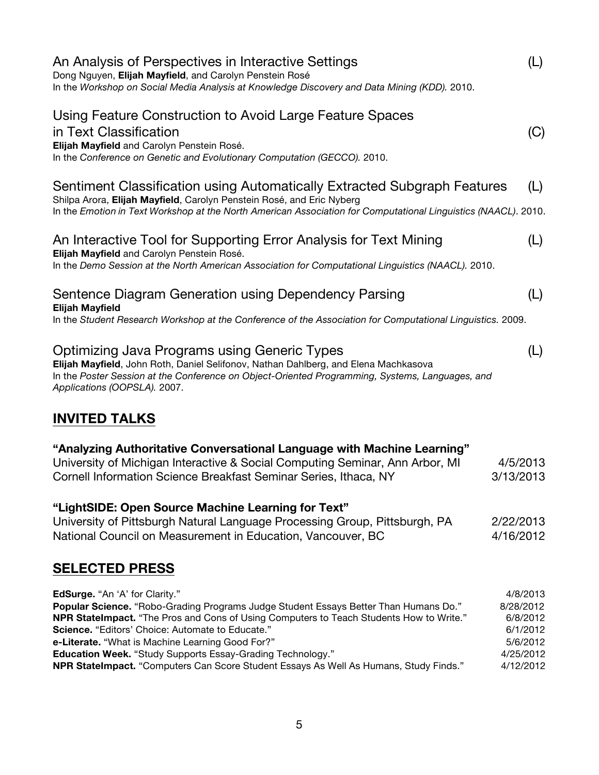| An Analysis of Perspectives in Interactive Settings<br>Dong Nguyen, Elijah Mayfield, and Carolyn Penstein Rosé<br>In the Workshop on Social Media Analysis at Knowledge Discovery and Data Mining (KDD). 2010.                                                                                                                                                                                                                                                                                 | (L)                                                                                 |
|------------------------------------------------------------------------------------------------------------------------------------------------------------------------------------------------------------------------------------------------------------------------------------------------------------------------------------------------------------------------------------------------------------------------------------------------------------------------------------------------|-------------------------------------------------------------------------------------|
| Using Feature Construction to Avoid Large Feature Spaces<br>in Text Classification<br>Elijah Mayfield and Carolyn Penstein Rosé.<br>In the Conference on Genetic and Evolutionary Computation (GECCO). 2010.                                                                                                                                                                                                                                                                                   | (C)                                                                                 |
| Sentiment Classification using Automatically Extracted Subgraph Features<br>Shilpa Arora, Elijah Mayfield, Carolyn Penstein Rosé, and Eric Nyberg<br>In the Emotion in Text Workshop at the North American Association for Computational Linguistics (NAACL). 2010.                                                                                                                                                                                                                            | (L)                                                                                 |
| An Interactive Tool for Supporting Error Analysis for Text Mining<br>Elijah Mayfield and Carolyn Penstein Rosé.<br>In the Demo Session at the North American Association for Computational Linguistics (NAACL). 2010.                                                                                                                                                                                                                                                                          | (L)                                                                                 |
| Sentence Diagram Generation using Dependency Parsing<br><b>Elijah Mayfield</b><br>In the Student Research Workshop at the Conference of the Association for Computational Linguistics. 2009.                                                                                                                                                                                                                                                                                                   | (L)                                                                                 |
| Optimizing Java Programs using Generic Types<br>Elijah Mayfield, John Roth, Daniel Selifonov, Nathan Dahlberg, and Elena Machkasova<br>In the Poster Session at the Conference on Object-Oriented Programming, Systems, Languages, and<br>Applications (OOPSLA). 2007.                                                                                                                                                                                                                         | (L)                                                                                 |
| <b>INVITED TALKS</b>                                                                                                                                                                                                                                                                                                                                                                                                                                                                           |                                                                                     |
| "Analyzing Authoritative Conversational Language with Machine Learning"<br>University of Michigan Interactive & Social Computing Seminar, Ann Arbor, MI<br>Cornell Information Science Breakfast Seminar Series, Ithaca, NY                                                                                                                                                                                                                                                                    | 4/5/2013<br>3/13/2013                                                               |
| "LightSIDE: Open Source Machine Learning for Text"<br>University of Pittsburgh Natural Language Processing Group, Pittsburgh, PA<br>National Council on Measurement in Education, Vancouver, BC                                                                                                                                                                                                                                                                                                | 2/22/2013<br>4/16/2012                                                              |
| <b>SELECTED PRESS</b>                                                                                                                                                                                                                                                                                                                                                                                                                                                                          |                                                                                     |
| EdSurge. "An 'A' for Clarity."<br>Popular Science. "Robo-Grading Programs Judge Student Essays Better Than Humans Do."<br>NPR StateImpact. "The Pros and Cons of Using Computers to Teach Students How to Write."<br><b>Science.</b> "Editors' Choice: Automate to Educate."<br>e-Literate. "What is Machine Learning Good For?"<br><b>Education Week.</b> "Study Supports Essay-Grading Technology."<br>NPR Statelmpact. "Computers Can Score Student Essays As Well As Humans, Study Finds." | 4/8/2013<br>8/28/2012<br>6/8/2012<br>6/1/2012<br>5/6/2012<br>4/25/2012<br>4/12/2012 |